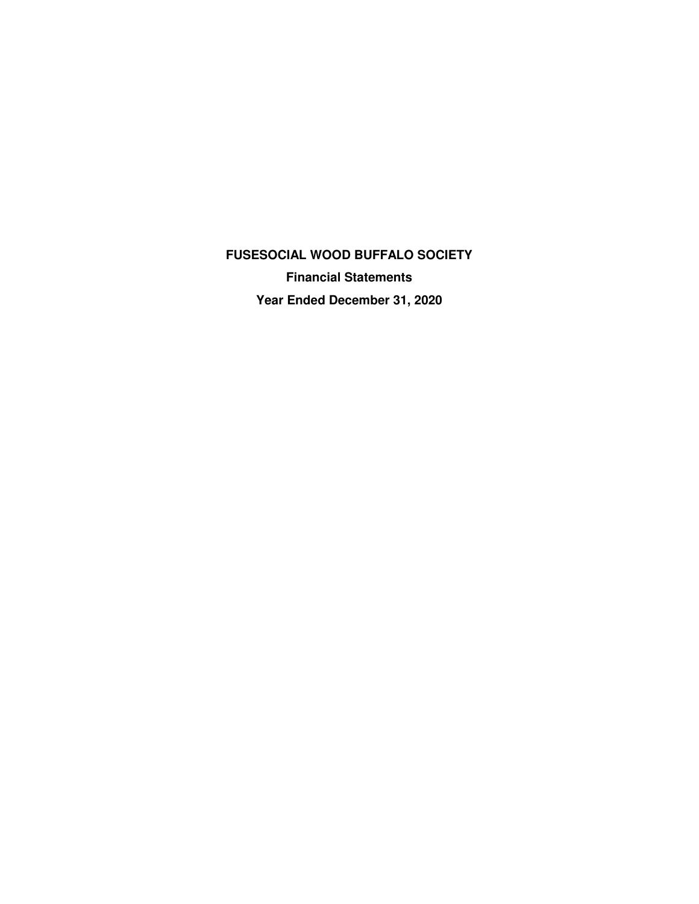**FUSESOCIAL WOOD BUFFALO SOCIETY Financial Statements Year Ended December 31, 2020**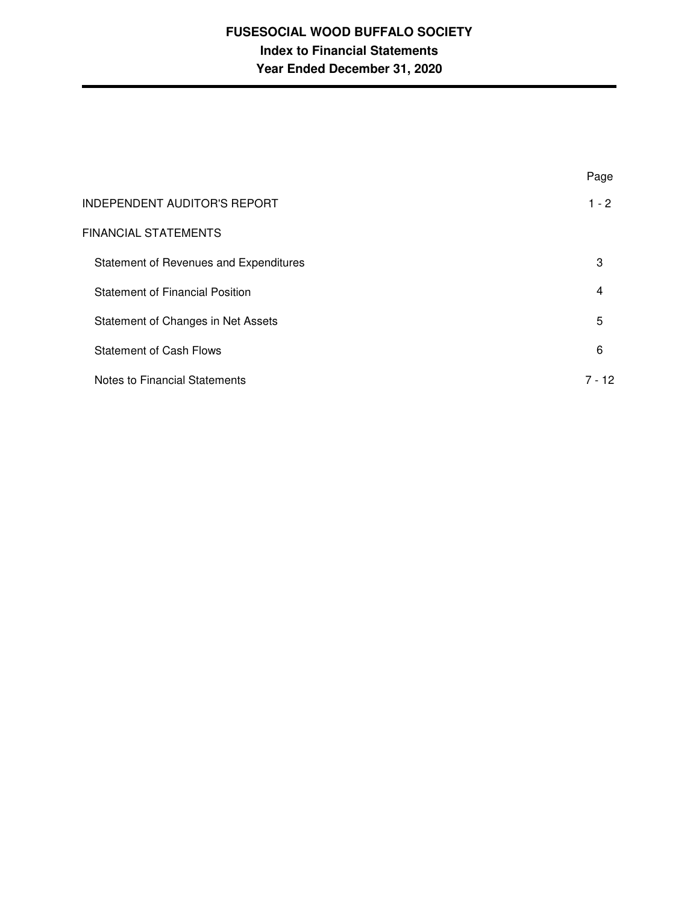# **FUSESOCIAL WOOD BUFFALO SOCIETY Index to Financial Statements Year Ended December 31, 2020**

|                                        | Page           |
|----------------------------------------|----------------|
| <b>INDEPENDENT AUDITOR'S REPORT</b>    | $1 - 2$        |
| <b>FINANCIAL STATEMENTS</b>            |                |
| Statement of Revenues and Expenditures | 3              |
| <b>Statement of Financial Position</b> | $\overline{4}$ |
| Statement of Changes in Net Assets     | 5              |
| <b>Statement of Cash Flows</b>         | 6              |
| Notes to Financial Statements          | 7 - 12         |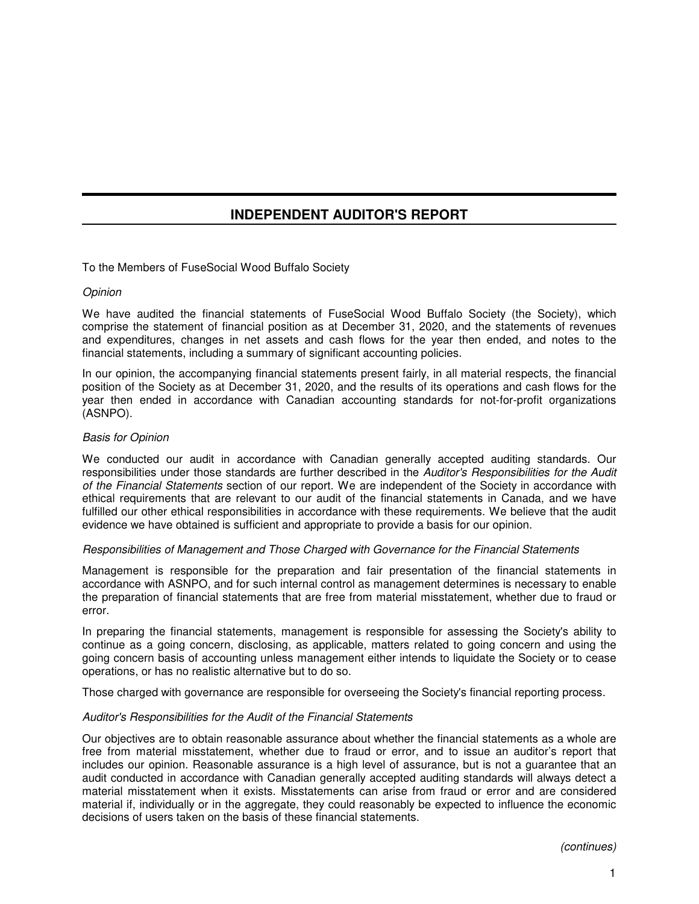# **INDEPENDENT AUDITOR'S REPORT**

To the Members of FuseSocial Wood Buffalo Society

# **Opinion**

We have audited the financial statements of FuseSocial Wood Buffalo Society (the Society), which comprise the statement of financial position as at December 31, 2020, and the statements of revenues and expenditures, changes in net assets and cash flows for the year then ended, and notes to the financial statements, including a summary of significant accounting policies.

In our opinion, the accompanying financial statements present fairly, in all material respects, the financial position of the Society as at December 31, 2020, and the results of its operations and cash flows for the year then ended in accordance with Canadian accounting standards for not-for-profit organizations (ASNPO).

## Basis for Opinion

We conducted our audit in accordance with Canadian generally accepted auditing standards. Our responsibilities under those standards are further described in the Auditor's Responsibilities for the Audit of the Financial Statements section of our report. We are independent of the Society in accordance with ethical requirements that are relevant to our audit of the financial statements in Canada, and we have fulfilled our other ethical responsibilities in accordance with these requirements. We believe that the audit evidence we have obtained is sufficient and appropriate to provide a basis for our opinion.

# Responsibilities of Management and Those Charged with Governance for the Financial Statements

Management is responsible for the preparation and fair presentation of the financial statements in accordance with ASNPO, and for such internal control as management determines is necessary to enable the preparation of financial statements that are free from material misstatement, whether due to fraud or error.

In preparing the financial statements, management is responsible for assessing the Society's ability to continue as a going concern, disclosing, as applicable, matters related to going concern and using the going concern basis of accounting unless management either intends to liquidate the Society or to cease operations, or has no realistic alternative but to do so.

Those charged with governance are responsible for overseeing the Society's financial reporting process.

# Auditor's Responsibilities for the Audit of the Financial Statements

Our objectives are to obtain reasonable assurance about whether the financial statements as a whole are free from material misstatement, whether due to fraud or error, and to issue an auditor's report that includes our opinion. Reasonable assurance is a high level of assurance, but is not a guarantee that an audit conducted in accordance with Canadian generally accepted auditing standards will always detect a material misstatement when it exists. Misstatements can arise from fraud or error and are considered material if, individually or in the aggregate, they could reasonably be expected to influence the economic decisions of users taken on the basis of these financial statements.

(continues)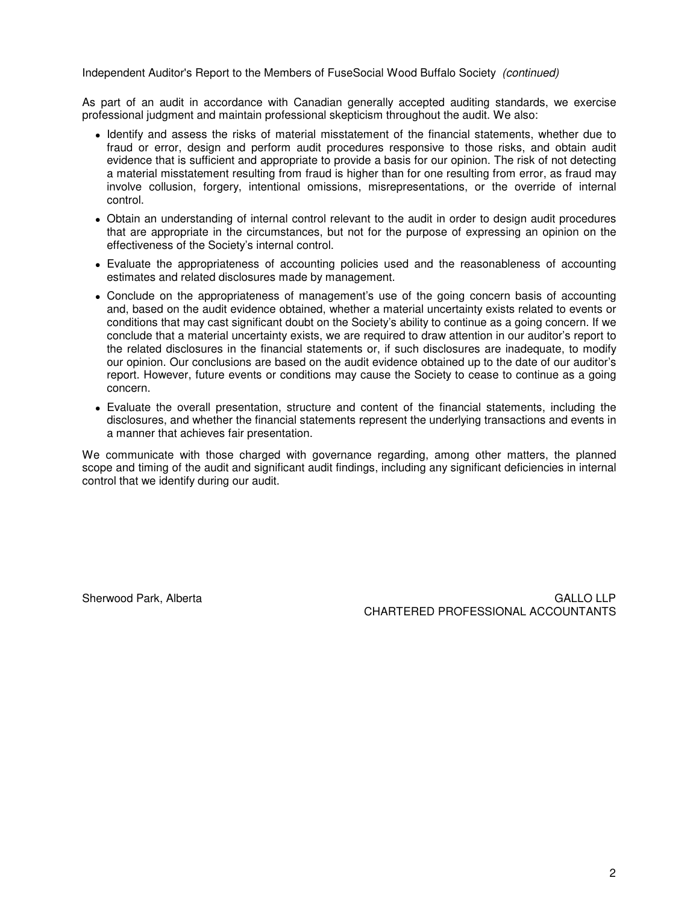Independent Auditor's Report to the Members of FuseSocial Wood Buffalo Society (continued)

As part of an audit in accordance with Canadian generally accepted auditing standards, we exercise professional judgment and maintain professional skepticism throughout the audit. We also:

- Identify and assess the risks of material misstatement of the financial statements, whether due to fraud or error, design and perform audit procedures responsive to those risks, and obtain audit evidence that is sufficient and appropriate to provide a basis for our opinion. The risk of not detecting a material misstatement resulting from fraud is higher than for one resulting from error, as fraud may involve collusion, forgery, intentional omissions, misrepresentations, or the override of internal control.
- Obtain an understanding of internal control relevant to the audit in order to design audit procedures that are appropriate in the circumstances, but not for the purpose of expressing an opinion on the effectiveness of the Society's internal control.
- Evaluate the appropriateness of accounting policies used and the reasonableness of accounting estimates and related disclosures made by management.
- Conclude on the appropriateness of management's use of the going concern basis of accounting and, based on the audit evidence obtained, whether a material uncertainty exists related to events or conditions that may cast significant doubt on the Society's ability to continue as a going concern. If we conclude that a material uncertainty exists, we are required to draw attention in our auditor's report to the related disclosures in the financial statements or, if such disclosures are inadequate, to modify our opinion. Our conclusions are based on the audit evidence obtained up to the date of our auditor's report. However, future events or conditions may cause the Society to cease to continue as a going concern.
- Evaluate the overall presentation, structure and content of the financial statements, including the disclosures, and whether the financial statements represent the underlying transactions and events in a manner that achieves fair presentation.

We communicate with those charged with governance regarding, among other matters, the planned scope and timing of the audit and significant audit findings, including any significant deficiencies in internal control that we identify during our audit.

Sherwood Park, Alberta GALLO LLP CHARTERED PROFESSIONAL ACCOUNTANTS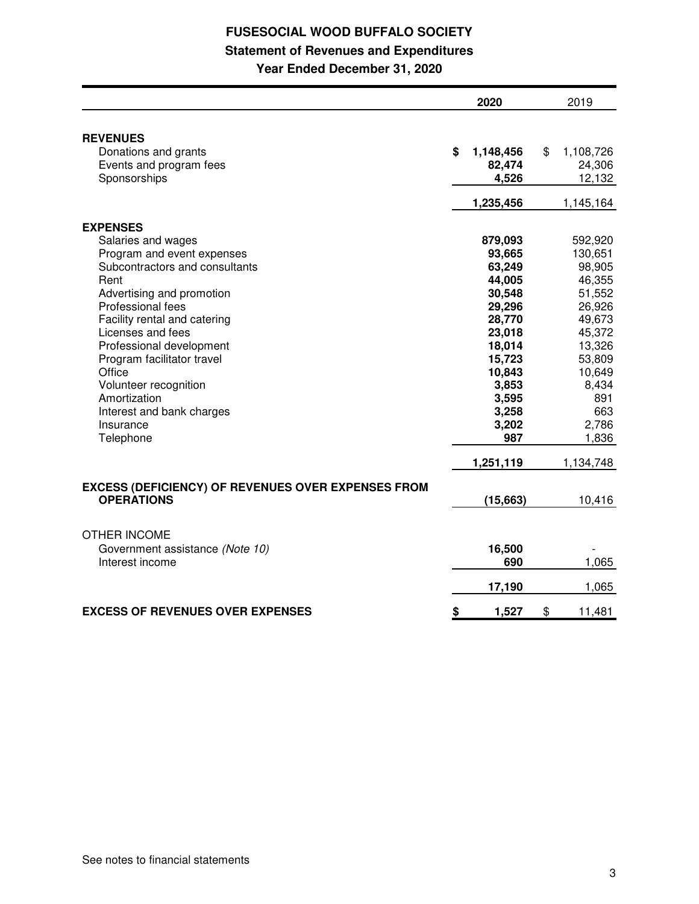# **FUSESOCIAL WOOD BUFFALO SOCIETY Statement of Revenues and Expenditures**

**Year Ended December 31, 2020**

|                                                                                | 2020            | 2019            |
|--------------------------------------------------------------------------------|-----------------|-----------------|
|                                                                                |                 |                 |
| <b>REVENUES</b>                                                                |                 |                 |
| Donations and grants                                                           | \$<br>1,148,456 | \$<br>1,108,726 |
| Events and program fees                                                        | 82,474          | 24,306          |
| Sponsorships                                                                   | 4,526           | 12,132          |
|                                                                                | 1,235,456       | 1,145,164       |
|                                                                                |                 |                 |
| <b>EXPENSES</b>                                                                |                 |                 |
| Salaries and wages                                                             | 879,093         | 592,920         |
| Program and event expenses                                                     | 93,665          | 130,651         |
| Subcontractors and consultants                                                 | 63,249          | 98,905          |
| Rent                                                                           | 44,005          | 46,355          |
| Advertising and promotion                                                      | 30,548          | 51,552          |
| Professional fees                                                              | 29,296          | 26,926          |
| Facility rental and catering                                                   | 28,770          | 49,673          |
| Licenses and fees                                                              | 23,018          | 45,372          |
| Professional development                                                       | 18,014          | 13,326          |
| Program facilitator travel                                                     | 15,723          | 53,809          |
| Office                                                                         | 10,843          | 10,649          |
| Volunteer recognition                                                          | 3,853           | 8,434           |
| Amortization                                                                   | 3,595           | 891             |
| Interest and bank charges                                                      | 3,258           | 663             |
| Insurance                                                                      | 3,202           | 2,786           |
| Telephone                                                                      | 987             | 1,836           |
|                                                                                | 1,251,119       | 1,134,748       |
|                                                                                |                 |                 |
| <b>EXCESS (DEFICIENCY) OF REVENUES OVER EXPENSES FROM</b><br><b>OPERATIONS</b> | (15, 663)       | 10,416          |
|                                                                                |                 |                 |
|                                                                                |                 |                 |
| <b>OTHER INCOME</b>                                                            |                 |                 |
| Government assistance (Note 10)                                                | 16,500          |                 |
| Interest income                                                                | 690             | 1,065           |
|                                                                                | 17,190          | 1,065           |
|                                                                                |                 |                 |
| <b>EXCESS OF REVENUES OVER EXPENSES</b>                                        | \$<br>1,527     | \$<br>11,481    |
|                                                                                |                 |                 |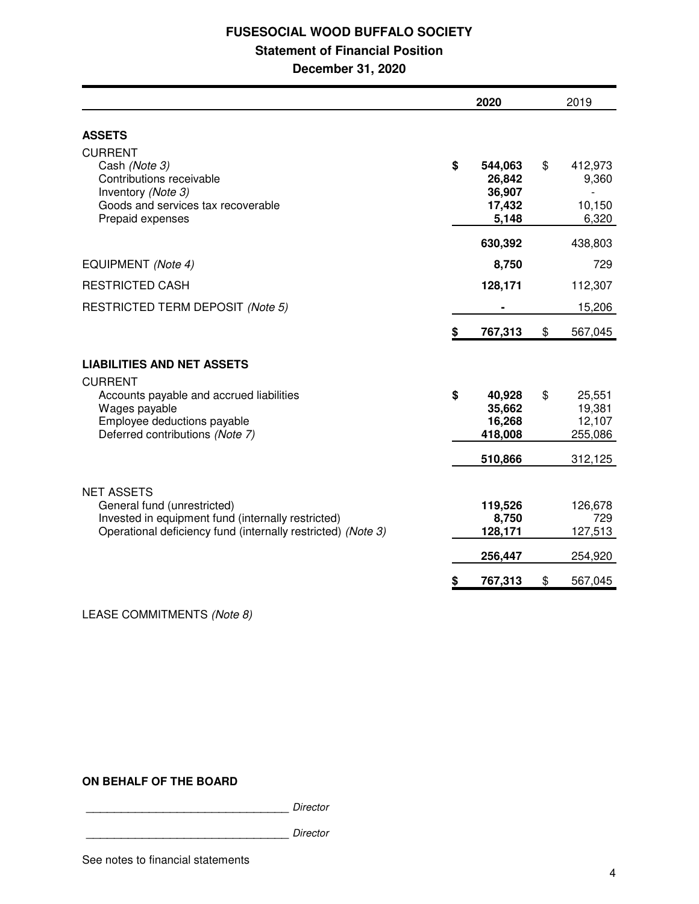# **FUSESOCIAL WOOD BUFFALO SOCIETY**

# **Statement of Financial Position**

**December 31, 2020**

|                                                                                                                                                   | 2020                                                 | 2019                                        |
|---------------------------------------------------------------------------------------------------------------------------------------------------|------------------------------------------------------|---------------------------------------------|
| <b>ASSETS</b>                                                                                                                                     |                                                      |                                             |
| <b>CURRENT</b><br>Cash (Note 3)<br>Contributions receivable<br>Inventory (Note 3)<br>Goods and services tax recoverable<br>Prepaid expenses       | \$<br>544,063<br>26,842<br>36,907<br>17,432<br>5,148 | \$<br>412,973<br>9,360<br>10,150<br>6,320   |
|                                                                                                                                                   | 630,392                                              | 438,803                                     |
| EQUIPMENT (Note 4)                                                                                                                                | 8,750                                                | 729                                         |
| <b>RESTRICTED CASH</b>                                                                                                                            | 128,171                                              | 112,307                                     |
| RESTRICTED TERM DEPOSIT (Note 5)                                                                                                                  |                                                      | 15,206                                      |
|                                                                                                                                                   | \$<br>767,313                                        | \$<br>567,045                               |
| <b>LIABILITIES AND NET ASSETS</b><br><b>CURRENT</b>                                                                                               |                                                      |                                             |
| Accounts payable and accrued liabilities<br>Wages payable<br>Employee deductions payable<br>Deferred contributions (Note 7)                       | \$<br>40,928<br>35,662<br>16,268<br>418,008          | \$<br>25,551<br>19,381<br>12,107<br>255,086 |
|                                                                                                                                                   | 510,866                                              | 312,125                                     |
| <b>NET ASSETS</b>                                                                                                                                 |                                                      |                                             |
| General fund (unrestricted)<br>Invested in equipment fund (internally restricted)<br>Operational deficiency fund (internally restricted) (Note 3) | 119,526<br>8,750<br>128,171                          | 126,678<br>729<br>127,513                   |
|                                                                                                                                                   | 256,447                                              | 254,920                                     |
|                                                                                                                                                   | \$<br>767,313                                        | \$<br>567,045                               |

LEASE COMMITMENTS (Note 8)

# **ON BEHALF OF THE BOARD**

\_\_\_\_\_\_\_\_\_\_\_\_\_\_\_\_\_\_\_\_\_\_\_\_\_\_\_\_\_ Director

\_\_\_\_\_\_\_\_\_\_\_\_\_\_\_\_\_\_\_\_\_\_\_\_\_\_\_\_\_ Director

See notes to financial statements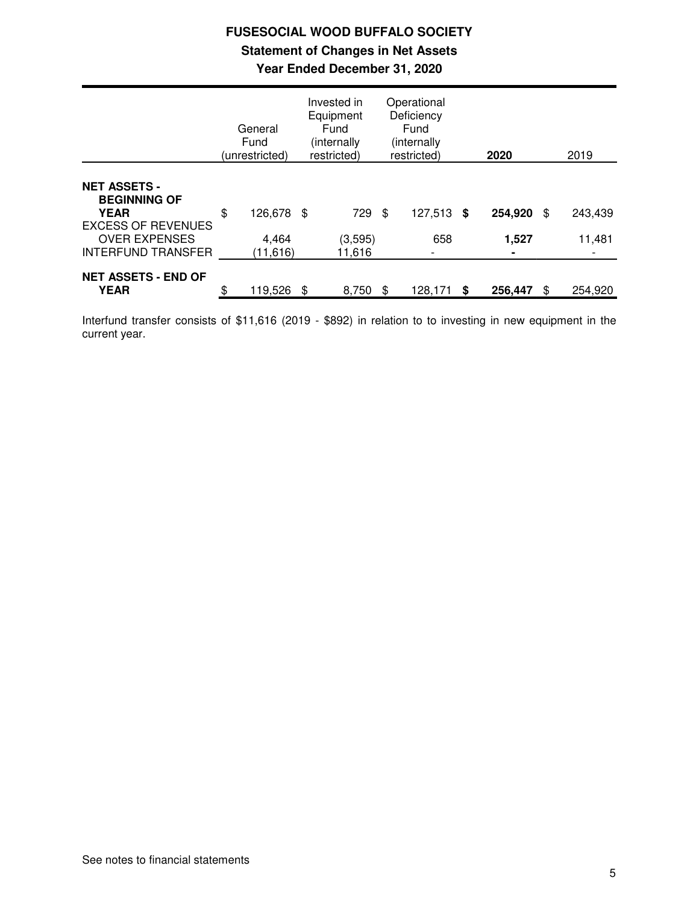# **FUSESOCIAL WOOD BUFFALO SOCIETY Statement of Changes in Net Assets Year Ended December 31, 2020**

|                                                                                        | General<br>Fund<br>(unrestricted) | Invested in<br>Equipment<br>Fund<br>(internally)<br>restricted) |     | Operational<br>Deficiency<br>Fund<br>(internally<br>restricted) |    | 2020                    | 2019          |
|----------------------------------------------------------------------------------------|-----------------------------------|-----------------------------------------------------------------|-----|-----------------------------------------------------------------|----|-------------------------|---------------|
| <b>NET ASSETS -</b><br><b>BEGINNING OF</b><br><b>YEAR</b><br><b>EXCESS OF REVENUES</b> | \$<br>126,678 \$                  | 729                                                             | -\$ | 127,513                                                         | S. | 254,920                 | \$<br>243,439 |
| <b>OVER EXPENSES</b><br><b>INTERFUND TRANSFER</b>                                      | 4,464<br>(11,616)                 | (3, 595)<br>11,616                                              |     | 658<br>$\overline{\phantom{a}}$                                 |    | 1,527<br>$\blacksquare$ | 11,481        |
| <b>NET ASSETS - END OF</b><br><b>YEAR</b>                                              | \$<br>119,526                     | \$<br>8,750                                                     | \$  | 128,171                                                         | \$ | 256,447                 | \$<br>254,920 |

Interfund transfer consists of \$11,616 (2019 - \$892) in relation to to investing in new equipment in the current year.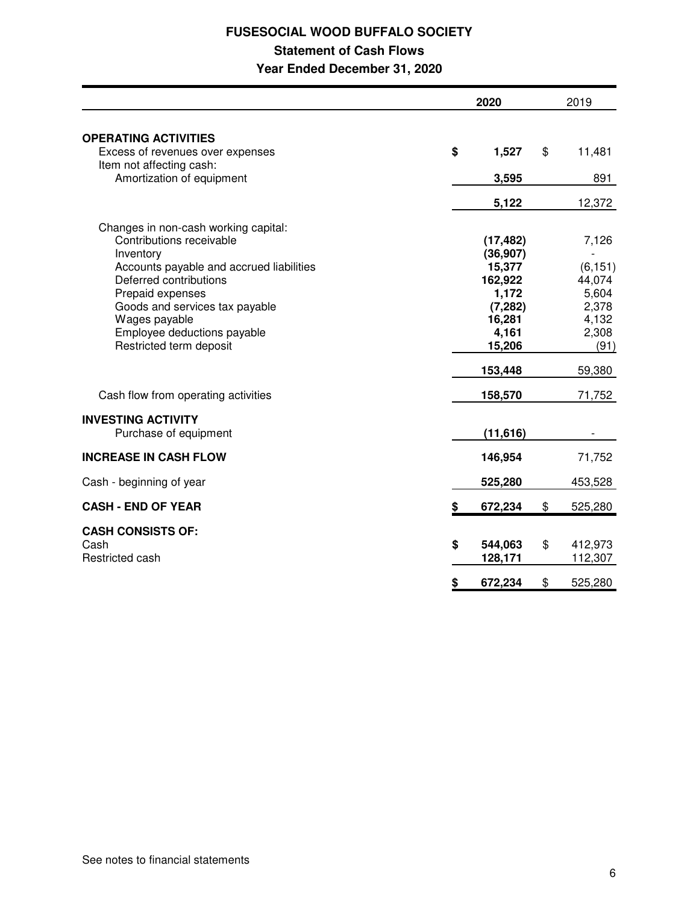# **FUSESOCIAL WOOD BUFFALO SOCIETY Statement of Cash Flows Year Ended December 31, 2020**

|                                                                                                                                                                                                                                                                                      | 2020                                                                                          | 2019                                                                                      |
|--------------------------------------------------------------------------------------------------------------------------------------------------------------------------------------------------------------------------------------------------------------------------------------|-----------------------------------------------------------------------------------------------|-------------------------------------------------------------------------------------------|
| <b>OPERATING ACTIVITIES</b><br>Excess of revenues over expenses                                                                                                                                                                                                                      | \$<br>1,527                                                                                   | \$<br>11,481                                                                              |
| Item not affecting cash:<br>Amortization of equipment                                                                                                                                                                                                                                | 3,595                                                                                         | 891                                                                                       |
|                                                                                                                                                                                                                                                                                      | 5,122                                                                                         | 12,372                                                                                    |
| Changes in non-cash working capital:<br>Contributions receivable<br>Inventory<br>Accounts payable and accrued liabilities<br>Deferred contributions<br>Prepaid expenses<br>Goods and services tax payable<br>Wages payable<br>Employee deductions payable<br>Restricted term deposit | (17, 482)<br>(36, 907)<br>15,377<br>162,922<br>1,172<br>(7, 282)<br>16,281<br>4,161<br>15,206 | 7,126<br>$\overline{a}$<br>(6, 151)<br>44,074<br>5,604<br>2,378<br>4,132<br>2,308<br>(91) |
| Cash flow from operating activities                                                                                                                                                                                                                                                  | 153,448<br>158,570                                                                            | 59,380<br>71,752                                                                          |
| <b>INVESTING ACTIVITY</b><br>Purchase of equipment                                                                                                                                                                                                                                   | (11, 616)                                                                                     |                                                                                           |
| <b>INCREASE IN CASH FLOW</b>                                                                                                                                                                                                                                                         | 146,954                                                                                       | 71,752                                                                                    |
| Cash - beginning of year                                                                                                                                                                                                                                                             | 525,280                                                                                       | 453,528                                                                                   |
| <b>CASH - END OF YEAR</b>                                                                                                                                                                                                                                                            | \$<br>672,234                                                                                 | \$<br>525,280                                                                             |
| <b>CASH CONSISTS OF:</b><br>Cash<br>Restricted cash                                                                                                                                                                                                                                  | \$<br>544,063<br>128,171                                                                      | \$<br>412,973<br>112,307                                                                  |
|                                                                                                                                                                                                                                                                                      | \$<br>672,234                                                                                 | \$<br>525,280                                                                             |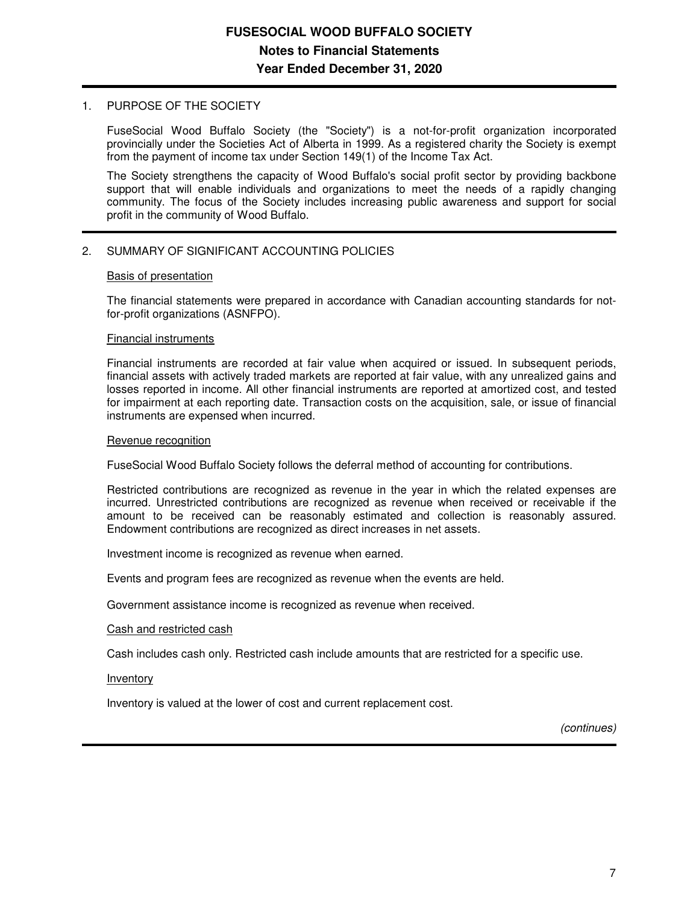## 1. PURPOSE OF THE SOCIETY

FuseSocial Wood Buffalo Society (the "Society") is a not-for-profit organization incorporated provincially under the Societies Act of Alberta in 1999. As a registered charity the Society is exempt from the payment of income tax under Section 149(1) of the Income Tax Act.

The Society strengthens the capacity of Wood Buffalo's social profit sector by providing backbone support that will enable individuals and organizations to meet the needs of a rapidly changing community. The focus of the Society includes increasing public awareness and support for social profit in the community of Wood Buffalo.

# 2. SUMMARY OF SIGNIFICANT ACCOUNTING POLICIES

## Basis of presentation

The financial statements were prepared in accordance with Canadian accounting standards for notfor-profit organizations (ASNFPO).

### Financial instruments

Financial instruments are recorded at fair value when acquired or issued. In subsequent periods, financial assets with actively traded markets are reported at fair value, with any unrealized gains and losses reported in income. All other financial instruments are reported at amortized cost, and tested for impairment at each reporting date. Transaction costs on the acquisition, sale, or issue of financial instruments are expensed when incurred.

### Revenue recognition

FuseSocial Wood Buffalo Society follows the deferral method of accounting for contributions.

Restricted contributions are recognized as revenue in the year in which the related expenses are incurred. Unrestricted contributions are recognized as revenue when received or receivable if the amount to be received can be reasonably estimated and collection is reasonably assured. Endowment contributions are recognized as direct increases in net assets.

Investment income is recognized as revenue when earned.

Events and program fees are recognized as revenue when the events are held.

Government assistance income is recognized as revenue when received.

### Cash and restricted cash

Cash includes cash only. Restricted cash include amounts that are restricted for a specific use.

### Inventory

Inventory is valued at the lower of cost and current replacement cost.

(continues)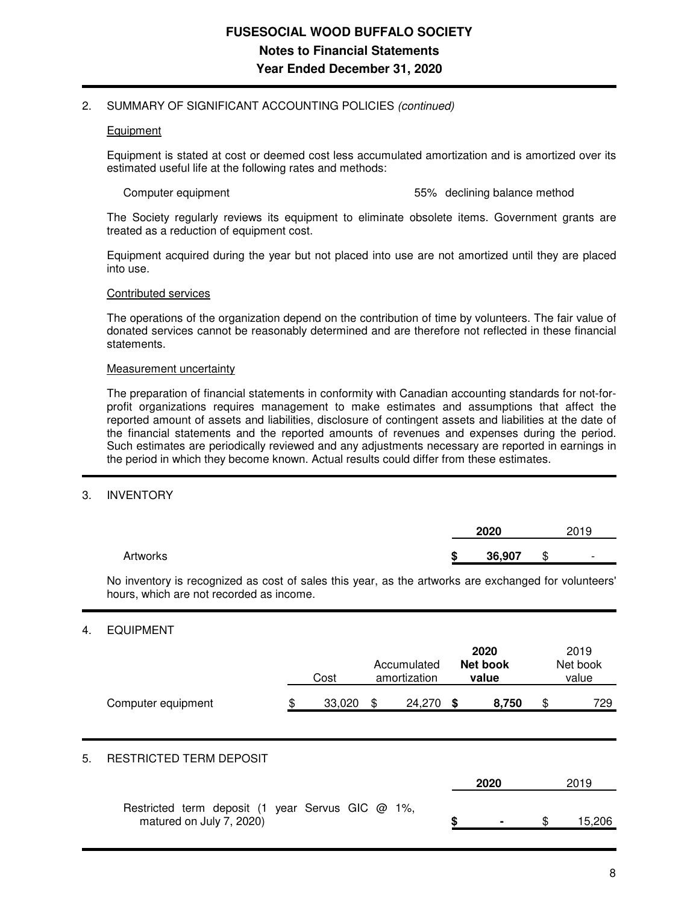## 2. SUMMARY OF SIGNIFICANT ACCOUNTING POLICIES (continued)

### **Equipment**

Equipment is stated at cost or deemed cost less accumulated amortization and is amortized over its estimated useful life at the following rates and methods:

Computer equipment 55% declining balance method

The Society regularly reviews its equipment to eliminate obsolete items. Government grants are treated as a reduction of equipment cost.

Equipment acquired during the year but not placed into use are not amortized until they are placed into use.

#### Contributed services

The operations of the organization depend on the contribution of time by volunteers. The fair value of donated services cannot be reasonably determined and are therefore not reflected in these financial statements.

#### Measurement uncertainty

The preparation of financial statements in conformity with Canadian accounting standards for not-forprofit organizations requires management to make estimates and assumptions that affect the reported amount of assets and liabilities, disclosure of contingent assets and liabilities at the date of the financial statements and the reported amounts of revenues and expenses during the period. Such estimates are periodically reviewed and any adjustments necessary are reported in earnings in the period in which they become known. Actual results could differ from these estimates.

### 3. INVENTORY

|          |        | 2020   |   | 2019                     |
|----------|--------|--------|---|--------------------------|
| Artworks | œ<br>æ | 36,907 | S | $\overline{\phantom{0}}$ |

No inventory is recognized as cost of sales this year, as the artworks are exchanged for volunteers' hours, which are not recorded as income.

# 4. EQUIPMENT

|    |                                | Cost         | Accumulated<br>amortization |      | 2020<br><b>Net book</b><br>value | 2019<br>Net book<br>value |
|----|--------------------------------|--------------|-----------------------------|------|----------------------------------|---------------------------|
|    | Computer equipment             | \$<br>33,020 | \$<br>24,270                | - \$ | 8,750                            | \$<br>729                 |
| 5. | <b>RESTRICTED TERM DEPOSIT</b> |              |                             |      | 2020                             | 2019                      |

| Restricted term deposit (1 year Servus GIC @ 1%, |  |  |  |  |        |
|--------------------------------------------------|--|--|--|--|--------|
| matured on July 7, 2020)                         |  |  |  |  | 15,206 |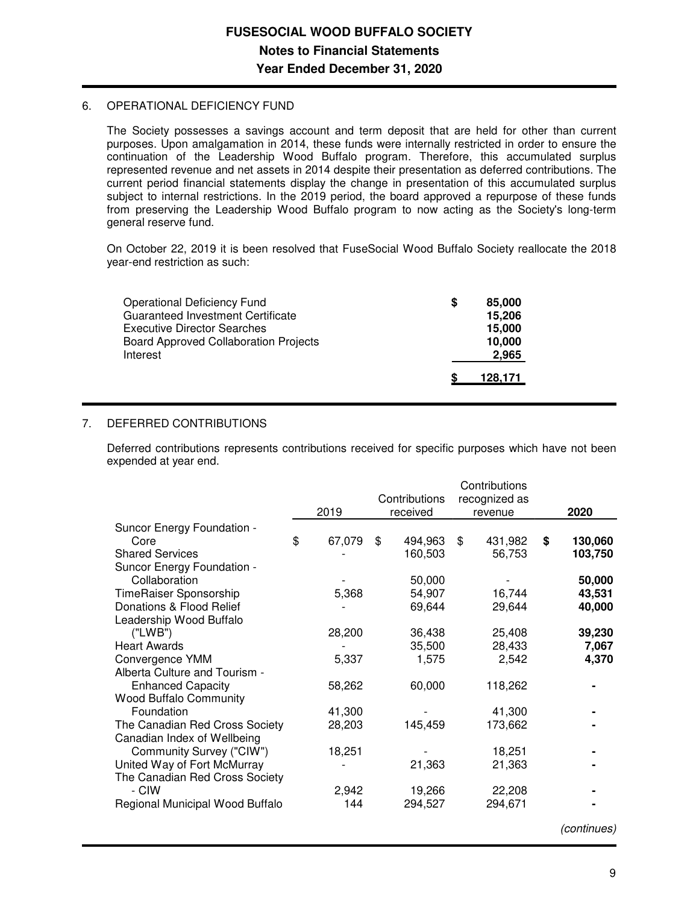## 6. OPERATIONAL DEFICIENCY FUND

The Society possesses a savings account and term deposit that are held for other than current purposes. Upon amalgamation in 2014, these funds were internally restricted in order to ensure the continuation of the Leadership Wood Buffalo program. Therefore, this accumulated surplus represented revenue and net assets in 2014 despite their presentation as deferred contributions. The current period financial statements display the change in presentation of this accumulated surplus subject to internal restrictions. In the 2019 period, the board approved a repurpose of these funds from preserving the Leadership Wood Buffalo program to now acting as the Society's long-term general reserve fund.

On October 22, 2019 it is been resolved that FuseSocial Wood Buffalo Society reallocate the 2018 year-end restriction as such:

| Operational Deficiency Fund<br>Guaranteed Investment Certificate | S | 85,000<br>15,206 |
|------------------------------------------------------------------|---|------------------|
| <b>Executive Director Searches</b>                               |   | 15,000           |
| <b>Board Approved Collaboration Projects</b>                     |   | 10,000           |
| Interest                                                         |   | 2.965            |
|                                                                  |   | 128.171          |

# 7. DEFERRED CONTRIBUTIONS

Deferred contributions represents contributions received for specific purposes which have not been expended at year end.

|                                 |              |                           | Contributions            |               |
|---------------------------------|--------------|---------------------------|--------------------------|---------------|
|                                 | 2019         | Contributions<br>received | recognized as<br>revenue | 2020          |
| Suncor Energy Foundation -      |              |                           |                          |               |
| Core                            | \$<br>67,079 | \$<br>494,963             | \$<br>431,982            | \$<br>130,060 |
| <b>Shared Services</b>          |              | 160,503                   | 56,753                   | 103,750       |
| Suncor Energy Foundation -      |              |                           |                          |               |
| Collaboration                   |              | 50,000                    |                          | 50,000        |
| <b>TimeRaiser Sponsorship</b>   | 5,368        | 54,907                    | 16,744                   | 43,531        |
| Donations & Flood Relief        |              | 69,644                    | 29,644                   | 40,000        |
| Leadership Wood Buffalo         |              |                           |                          |               |
| ('LWB")                         | 28,200       | 36,438                    | 25,408                   | 39,230        |
| <b>Heart Awards</b>             |              | 35,500                    | 28,433                   | 7,067         |
| Convergence YMM                 | 5,337        | 1,575                     | 2,542                    | 4,370         |
| Alberta Culture and Tourism -   |              |                           |                          |               |
| <b>Enhanced Capacity</b>        | 58,262       | 60,000                    | 118,262                  |               |
| <b>Wood Buffalo Community</b>   |              |                           |                          |               |
| Foundation                      | 41,300       |                           | 41,300                   |               |
| The Canadian Red Cross Society  | 28,203       | 145,459                   | 173,662                  |               |
| Canadian Index of Wellbeing     |              |                           |                          |               |
| Community Survey ("CIW")        | 18,251       |                           | 18,251                   |               |
| United Way of Fort McMurray     |              | 21,363                    | 21,363                   |               |
| The Canadian Red Cross Society  |              |                           |                          |               |
| - CIW                           | 2,942        | 19,266                    | 22,208                   |               |
| Regional Municipal Wood Buffalo | 144          | 294,527                   | 294,671                  |               |
|                                 |              |                           |                          |               |

(continues)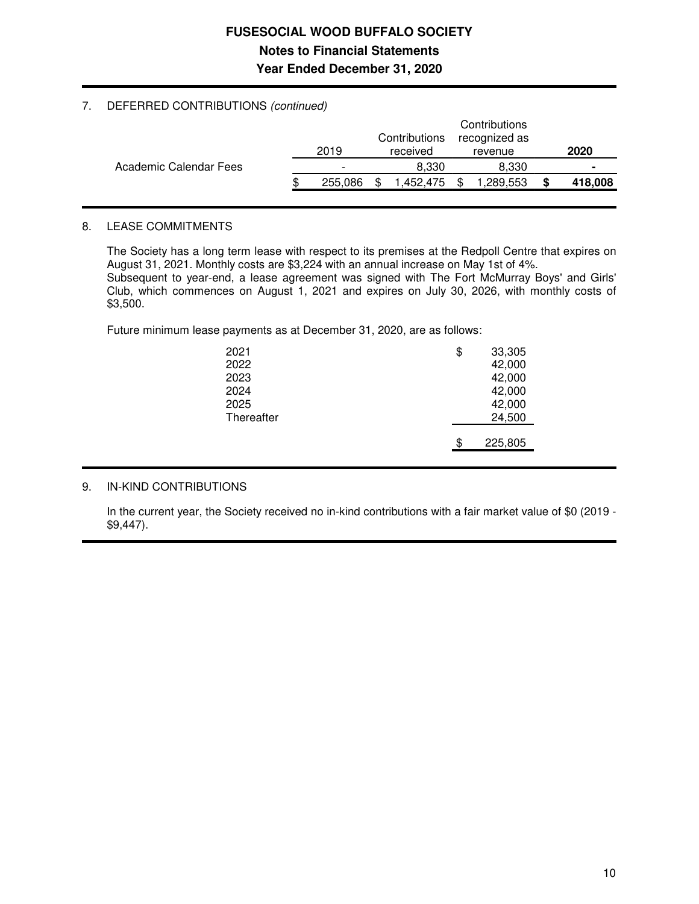# **FUSESOCIAL WOOD BUFFALO SOCIETY Notes to Financial Statements Year Ended December 31, 2020**

# 7. DEFERRED CONTRIBUTIONS (continued)

|                        | 2019                     | Contributions<br>received | Contributions<br>recognized as<br>revenue |   | 2020    |
|------------------------|--------------------------|---------------------------|-------------------------------------------|---|---------|
| Academic Calendar Fees | $\overline{\phantom{0}}$ | 8.330                     | 8.330                                     |   |         |
|                        | 255.086                  | .452.475                  | ,289,553                                  | S | 418,008 |

# 8. LEASE COMMITMENTS

The Society has a long term lease with respect to its premises at the Redpoll Centre that expires on August 31, 2021. Monthly costs are \$3,224 with an annual increase on May 1st of 4%. Subsequent to year-end, a lease agreement was signed with The Fort McMurray Boys' and Girls' Club, which commences on August 1, 2021 and expires on July 30, 2026, with monthly costs of \$3,500.

Future minimum lease payments as at December 31, 2020, are as follows:

| 2021<br>2022<br>2023<br>2024<br>2025 | \$ | 33,305<br>42,000<br>42,000<br>42,000<br>42,000 |
|--------------------------------------|----|------------------------------------------------|
| Thereafter                           |    | 24,500                                         |
|                                      | \$ | 225,805                                        |
|                                      |    |                                                |

# 9. IN-KIND CONTRIBUTIONS

In the current year, the Society received no in-kind contributions with a fair market value of \$0 (2019 - \$9,447).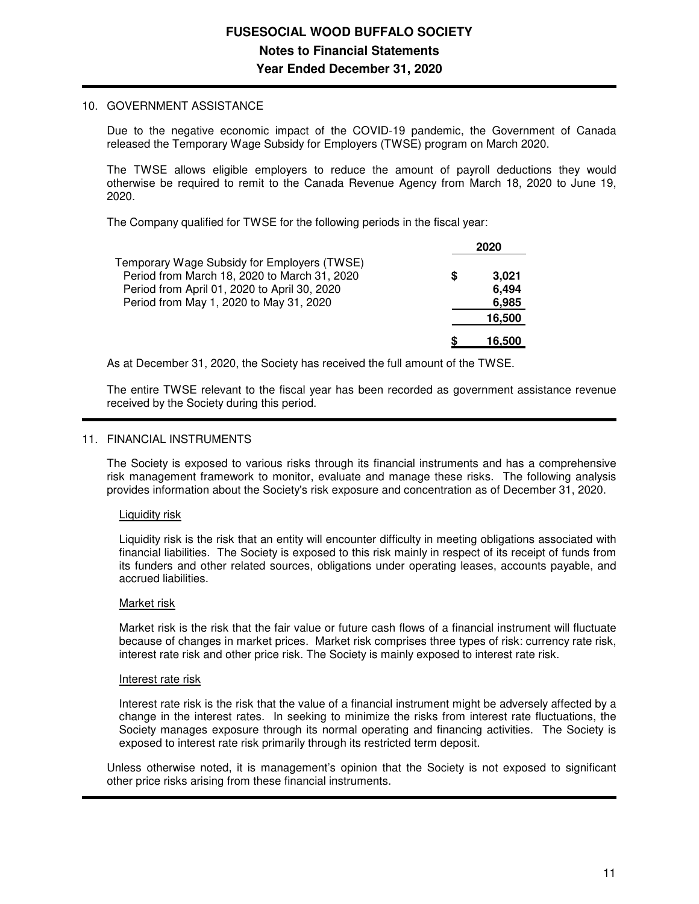## 10. GOVERNMENT ASSISTANCE

Due to the negative economic impact of the COVID-19 pandemic, the Government of Canada released the Temporary Wage Subsidy for Employers (TWSE) program on March 2020.

The TWSE allows eligible employers to reduce the amount of payroll deductions they would otherwise be required to remit to the Canada Revenue Agency from March 18, 2020 to June 19, 2020.

The Company qualified for TWSE for the following periods in the fiscal year:

|                                                                                             | 2020 |        |
|---------------------------------------------------------------------------------------------|------|--------|
| Temporary Wage Subsidy for Employers (TWSE)<br>Period from March 18, 2020 to March 31, 2020 | S    | 3.021  |
| Period from April 01, 2020 to April 30, 2020                                                |      | 6,494  |
| Period from May 1, 2020 to May 31, 2020                                                     |      | 6,985  |
|                                                                                             |      | 16,500 |
|                                                                                             |      | 16.500 |

As at December 31, 2020, the Society has received the full amount of the TWSE.

The entire TWSE relevant to the fiscal year has been recorded as government assistance revenue received by the Society during this period.

## 11. FINANCIAL INSTRUMENTS

The Society is exposed to various risks through its financial instruments and has a comprehensive risk management framework to monitor, evaluate and manage these risks. The following analysis provides information about the Society's risk exposure and concentration as of December 31, 2020.

### Liquidity risk

Liquidity risk is the risk that an entity will encounter difficulty in meeting obligations associated with financial liabilities. The Society is exposed to this risk mainly in respect of its receipt of funds from its funders and other related sources, obligations under operating leases, accounts payable, and accrued liabilities.

### Market risk

Market risk is the risk that the fair value or future cash flows of a financial instrument will fluctuate because of changes in market prices. Market risk comprises three types of risk: currency rate risk, interest rate risk and other price risk. The Society is mainly exposed to interest rate risk.

### Interest rate risk

Interest rate risk is the risk that the value of a financial instrument might be adversely affected by a change in the interest rates. In seeking to minimize the risks from interest rate fluctuations, the Society manages exposure through its normal operating and financing activities. The Society is exposed to interest rate risk primarily through its restricted term deposit.

Unless otherwise noted, it is management's opinion that the Society is not exposed to significant other price risks arising from these financial instruments.